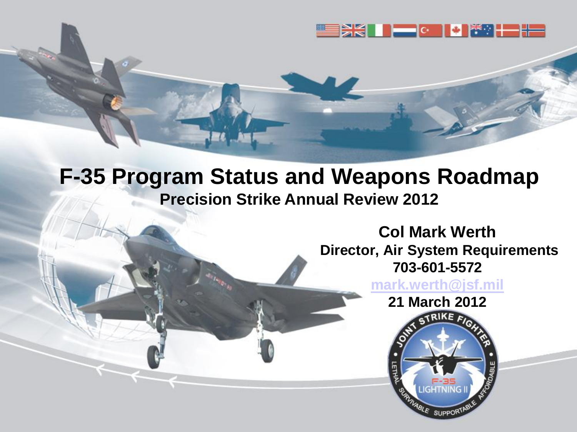

#### **F-35 Program Status and Weapons Roadmap Precision Strike Annual Review 2012**

**Col Mark Werth Director, Air System Requirements 703-601-5572**

**[mark.werth@jsf.mil](mailto:mark.werth@jsf.mil)**

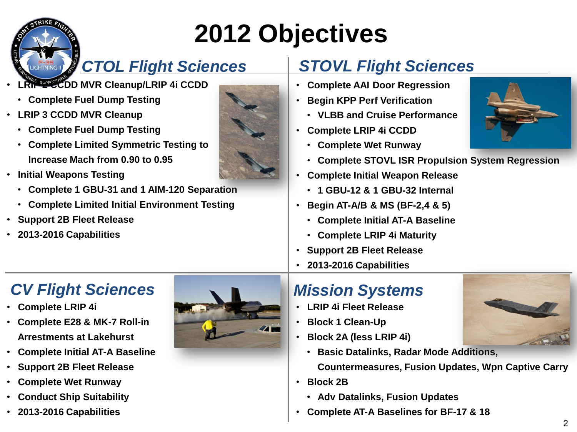# **2012 Objectives**

- **LRIP 2 CCDD MVR Cleanup/LRIP 4i CCDD**
- **Complete Fuel Dump Testing**
- **LRIP 3 CCDD MVR Cleanup**
	- **Complete Fuel Dump Testing**
	- **Complete Limited Symmetric Testing to Increase Mach from 0.90 to 0.95**
- **Initial Weapons Testing**
	- **Complete 1 GBU-31 and 1 AIM-120 Separation**
	- **Complete Limited Initial Environment Testing**
- **Support 2B Fleet Release**
- **2013-2016 Capabilities**



#### *CTOL Flight Sciences STOVL Flight Sciences*

- **Complete AAI Door Regression**
- **Begin KPP Perf Verification**
	- **VLBB and Cruise Performance**
- **Complete LRIP 4i CCDD**
	- **Complete Wet Runway**
	- **Complete STOVL ISR Propulsion System Regression**
- **Complete Initial Weapon Release**
	- **1 GBU-12 & 1 GBU-32 Internal**
- **Begin AT-A/B & MS (BF-2,4 & 5)**
	- **Complete Initial AT-A Baseline**
	- **Complete LRIP 4i Maturity**
- **Support 2B Fleet Release**
- **2013-2016 Capabilities**

#### *Mission Systems*

- **LRIP 4i Fleet Release**
- **Block 1 Clean-Up**
- **Block 2A (less LRIP 4i)**
	- **Basic Datalinks, Radar Mode Additions,**

**Countermeasures, Fusion Updates, Wpn Captive Carry**

- **Block 2B**
	- **Adv Datalinks, Fusion Updates**
- **Complete AT-A Baselines for BF-17 & 18**



#### *CV Flight Sciences*

- **Complete LRIP 4i**
- **Complete E28 & MK-7 Roll-in Arrestments at Lakehurst**
- **Complete Initial AT-A Baseline**
- **Support 2B Fleet Release**
- **Complete Wet Runway**
- **Conduct Ship Suitability**
- **2013-2016 Capabilities**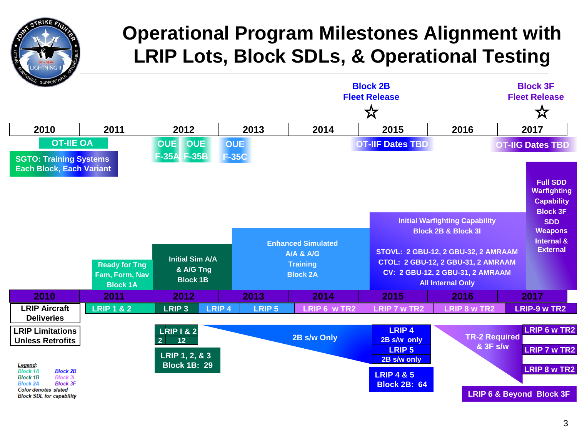

## **Operational Program Milestones Alignment with LRIP Lots, Block SDLs, & Operational Testing**

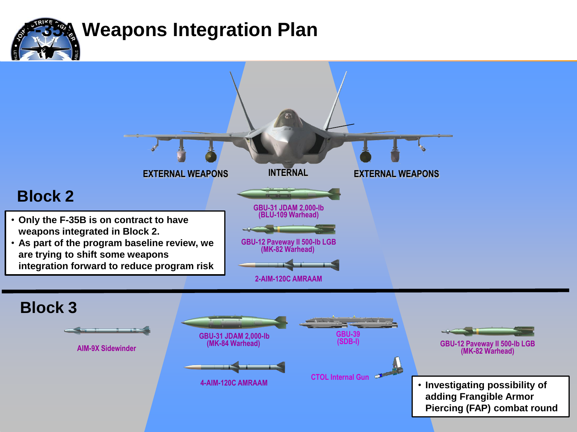

## **Weapons Integration Plan**



**4-AIM-120C AMRAAM**

**CTOL Internal Gun**

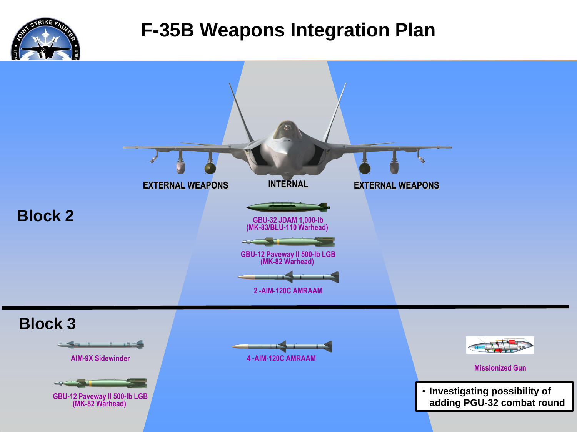

### **F-35B Weapons Integration Plan**

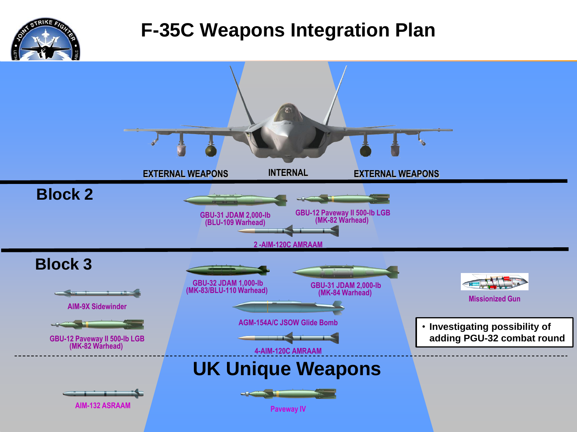

### **F-35C Weapons Integration Plan**

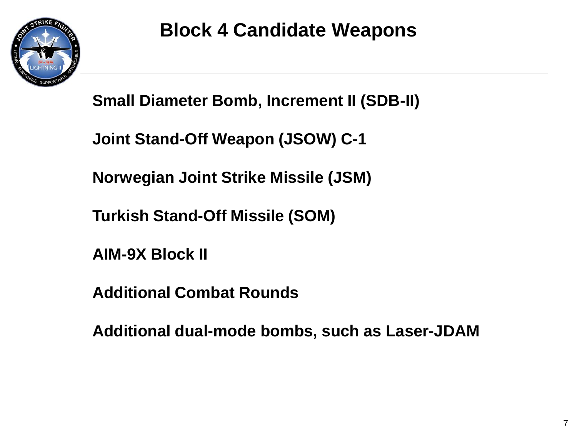

**Block 4 Candidate Weapons**

**Small Diameter Bomb, Increment II (SDB-II)**

**Joint Stand-Off Weapon (JSOW) C-1**

**Norwegian Joint Strike Missile (JSM)**

**Turkish Stand-Off Missile (SOM)**

**AIM-9X Block II**

**Additional Combat Rounds**

**Additional dual-mode bombs, such as Laser-JDAM**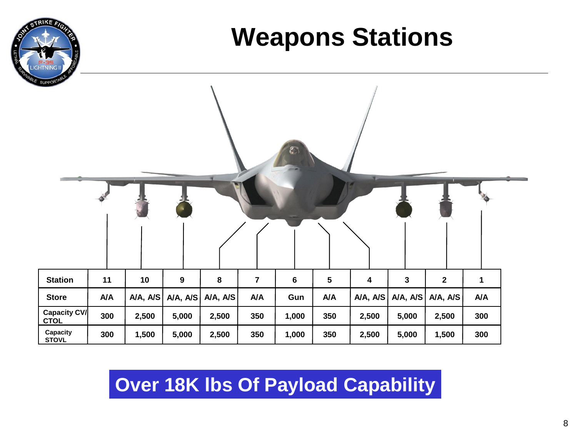| OWNETRIKE FIG.<br>LIGHTNING II | <b>Weapons Stations</b> |          |          |          |                |       |            |          |              |              |     |  |
|--------------------------------|-------------------------|----------|----------|----------|----------------|-------|------------|----------|--------------|--------------|-----|--|
| <b>RAWABLE SUPPORTA</b>        |                         |          |          |          |                |       |            |          |              |              |     |  |
|                                |                         |          |          |          |                |       |            |          |              |              |     |  |
|                                |                         |          |          |          |                |       |            |          |              |              |     |  |
| <b>Station</b>                 | 11                      | 10       | 9        | 8        | $\overline{7}$ | 6     | 5          | 4        | $\mathbf{3}$ | $\mathbf{2}$ | 1   |  |
| <b>Store</b>                   | A/A                     | A/A, A/S | A/A, A/S | A/A, A/S | A/A            | Gun   | <b>A/A</b> | A/A, A/S | A/A, A/S     | A/A, A/S     | A/A |  |
| Capacity CV/<br><b>CTOL</b>    | 300                     | 2,500    | 5,000    | 2,500    | 350            | 1,000 | 350        | 2,500    | 5,000        | 2,500        | 300 |  |
| Capacity<br><b>STOVL</b>       | 300                     | 1,500    | 5,000    | 2,500    | 350            | 1,000 | 350        | 2,500    | 5,000        | 1,500        | 300 |  |

# **Over 18K lbs Of Payload Capability**